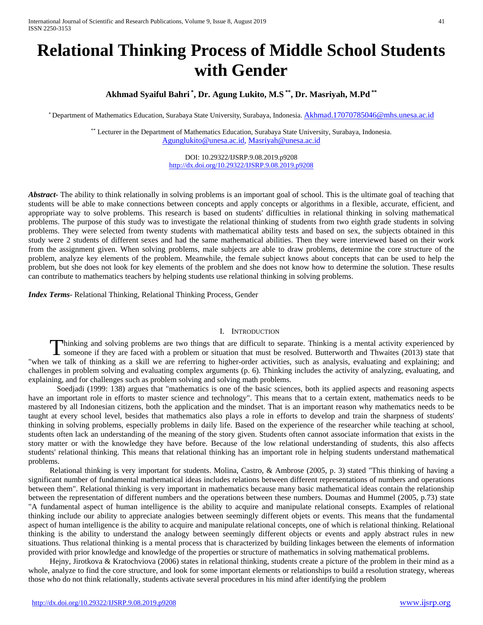# **Relational Thinking Process of Middle School Students with Gender**

## **Akhmad Syaiful Bahri \* , Dr. Agung Lukito, M.S \*\*, Dr. Masriyah, M.Pd \*\***

\* Department of Mathematics Education, Surabaya State University, Surabaya, Indonesia. [Akhmad.17070785046@mhs.unesa.ac.id](mailto:Akhmad.17070785046@mhs.unesa.ac.id)

\*\* Lecturer in the Department of Mathematics Education, Surabaya State University, Surabaya, Indonesia. [Agunglukito@unesa.ac.id,](mailto:Agunglukito@unesa.ac.id) [Masriyah@unesa.ac.id](mailto:Masriyah@unesa.ac.id)

> DOI: 10.29322/IJSRP.9.08.2019.p9208 <http://dx.doi.org/10.29322/IJSRP.9.08.2019.p9208>

*Abstract* The ability to think relationally in solving problems is an important goal of school. This is the ultimate goal of teaching that students will be able to make connections between concepts and apply concepts or algorithms in a flexible, accurate, efficient, and appropriate way to solve problems. This research is based on students' difficulties in relational thinking in solving mathematical problems. The purpose of this study was to investigate the relational thinking of students from two eighth grade students in solving problems. They were selected from twenty students with mathematical ability tests and based on sex, the subjects obtained in this study were 2 students of different sexes and had the same mathematical abilities. Then they were interviewed based on their work from the assignment given. When solving problems, male subjects are able to draw problems, determine the core structure of the problem, analyze key elements of the problem. Meanwhile, the female subject knows about concepts that can be used to help the problem, but she does not look for key elements of the problem and she does not know how to determine the solution. These results can contribute to mathematics teachers by helping students use relational thinking in solving problems.

*Index Terms*- Relational Thinking, Relational Thinking Process, Gender

#### I. INTRODUCTION

hinking and solving problems are two things that are difficult to separate. Thinking is a mental activity experienced by Thinking and solving problems are two things that are difficult to separate. Thinking is a mental activity experienced by someone if they are faced with a problem or situation that must be resolved. Butterworth and Thwaite "when we talk of thinking as a skill we are referring to higher-order activities, such as analysis, evaluating and explaining; and challenges in problem solving and evaluating complex arguments (p. 6). Thinking includes the activity of analyzing, evaluating, and explaining, and for challenges such as problem solving and solving math problems.

Soedjadi (1999: 138) argues that "mathematics is one of the basic sciences, both its applied aspects and reasoning aspects have an important role in efforts to master science and technology". This means that to a certain extent, mathematics needs to be mastered by all Indonesian citizens, both the application and the mindset. That is an important reason why mathematics needs to be taught at every school level, besides that mathematics also plays a role in efforts to develop and train the sharpness of students' thinking in solving problems, especially problems in daily life. Based on the experience of the researcher while teaching at school, students often lack an understanding of the meaning of the story given. Students often cannot associate information that exists in the story matter or with the knowledge they have before. Because of the low relational understanding of students, this also affects students' relational thinking. This means that relational thinking has an important role in helping students understand mathematical problems.

Relational thinking is very important for students. Molina, Castro, & Ambrose (2005, p. 3) stated "This thinking of having a significant number of fundamental mathematical ideas includes relations between different representations of numbers and operations between them". Relational thinking is very important in mathematics because many basic mathematical ideas contain the relationship between the representation of different numbers and the operations between these numbers. Doumas and Hummel (2005, p.73) state "A fundamental aspect of human intelligence is the ability to acquire and manipulate relational consepts. Examples of relational thinking include our ability to appreciate analogies between seemingly different objets or events. This means that the fundamental aspect of human intelligence is the ability to acquire and manipulate relational concepts, one of which is relational thinking. Relational thinking is the ability to understand the analogy between seemingly different objects or events and apply abstract rules in new situations. Thus relational thinking is a mental process that is characterized by building linkages between the elements of information provided with prior knowledge and knowledge of the properties or structure of mathematics in solving mathematical problems.

Hejny, Jirotkova & Kratochviova (2006) states in relational thinking, students create a picture of the problem in their mind as a whole, analyze to find the core structure, and look for some important elements or relationships to build a resolution strategy, whereas those who do not think relationally, students activate several procedures in his mind after identifying the problem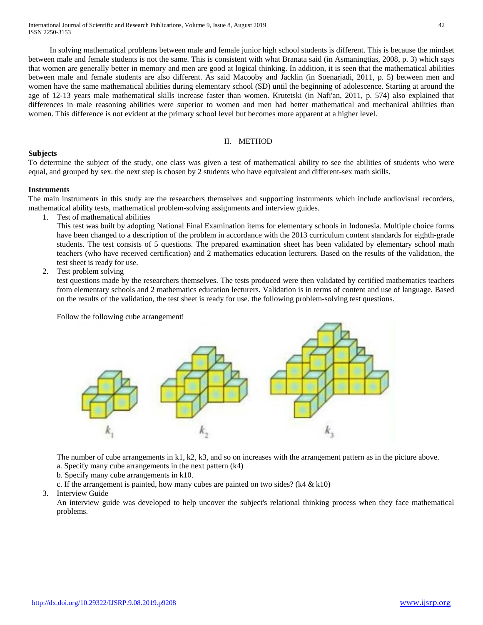In solving mathematical problems between male and female junior high school students is different. This is because the mindset between male and female students is not the same. This is consistent with what Branata said (in Asmaningtias, 2008, p. 3) which says that women are generally better in memory and men are good at logical thinking. In addition, it is seen that the mathematical abilities between male and female students are also different. As said Macooby and Jacklin (in Soenarjadi, 2011, p. 5) between men and women have the same mathematical abilities during elementary school (SD) until the beginning of adolescence. Starting at around the age of 12-13 years male mathematical skills increase faster than women. Krutetski (in Nafi'an, 2011, p. 574) also explained that differences in male reasoning abilities were superior to women and men had better mathematical and mechanical abilities than women. This difference is not evident at the primary school level but becomes more apparent at a higher level.

## II. METHOD

## **Subjects**

To determine the subject of the study, one class was given a test of mathematical ability to see the abilities of students who were equal, and grouped by sex. the next step is chosen by 2 students who have equivalent and different-sex math skills.

### **Instruments**

The main instruments in this study are the researchers themselves and supporting instruments which include audiovisual recorders, mathematical ability tests, mathematical problem-solving assignments and interview guides.

1. Test of mathematical abilities

This test was built by adopting National Final Examination items for elementary schools in Indonesia. Multiple choice forms have been changed to a description of the problem in accordance with the 2013 curriculum content standards for eighth-grade students. The test consists of 5 questions. The prepared examination sheet has been validated by elementary school math teachers (who have received certification) and 2 mathematics education lecturers. Based on the results of the validation, the test sheet is ready for use.

2. Test problem solving

test questions made by the researchers themselves. The tests produced were then validated by certified mathematics teachers from elementary schools and 2 mathematics education lecturers. Validation is in terms of content and use of language. Based on the results of the validation, the test sheet is ready for use. the following problem-solving test questions.

Follow the following cube arrangement!



The number of cube arrangements in k1, k2, k3, and so on increases with the arrangement pattern as in the picture above. a. Specify many cube arrangements in the next pattern (k4)

b. Specify many cube arrangements in k10.

c. If the arrangement is painted, how many cubes are painted on two sides? (k4 & k10)

3. Interview Guide

An interview guide was developed to help uncover the subject's relational thinking process when they face mathematical problems.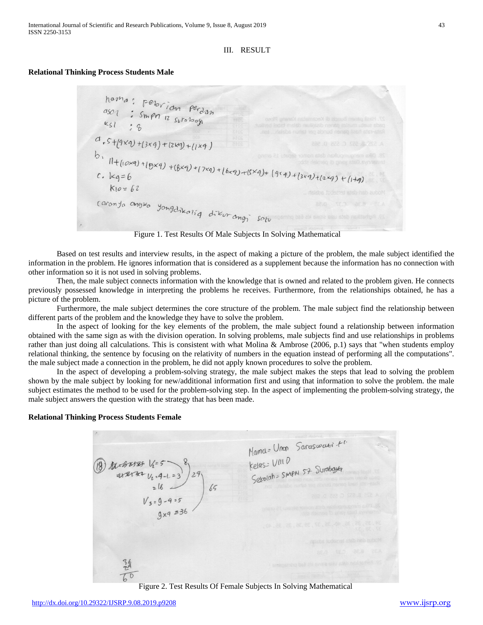## III. RESULT

## **Relational Thinking Process Students Male**

hama: Febrian perdan<br>ason: Smpn 12 surabosh<br>ksl: 8  $d$ ,  $s + (9xq) + (3xq) + (2xq) + (1xq)$ b.<br>
11+(10x9)+(5x9)+(8x9)+(7x9)+(6x9)+(5x9)+(9x9)+(3x9)+(2x9)+(1+9)<br>
k10=62  $K10 = 62$ caronja angko yongdikoliq dikurangi sotu

Figure 1. Test Results Of Male Subjects In Solving Mathematical

Based on test results and interview results, in the aspect of making a picture of the problem, the male subject identified the information in the problem. He ignores information that is considered as a supplement because the information has no connection with other information so it is not used in solving problems.

Then, the male subject connects information with the knowledge that is owned and related to the problem given. He connects previously possessed knowledge in interpreting the problems he receives. Furthermore, from the relationships obtained, he has a picture of the problem.

Furthermore, the male subject determines the core structure of the problem. The male subject find the relationship between different parts of the problem and the knowledge they have to solve the problem.

In the aspect of looking for the key elements of the problem, the male subject found a relationship between information obtained with the same sign as with the division operation. In solving problems, male subjects find and use relationships in problems rather than just doing all calculations. This is consistent with what Molina & Ambrose (2006, p.1) says that "when students employ relational thinking, the sentence by focusing on the relativity of numbers in the equation instead of performing all the computations". the male subject made a connection in the problem, he did not apply known procedures to solve the problem.

In the aspect of developing a problem-solving strategy, the male subject makes the steps that lead to solving the problem shown by the male subject by looking for new/additional information first and using that information to solve the problem. the male subject estimates the method to be used for the problem-solving step. In the aspect of implementing the problem-solving strategy, the male subject answers the question with the strategy that has been made.

#### **Relational Thinking Process Students Female**

Mamers Unon Saraswallist<sup>1</sup><br>Kelass VIII D<br>Seloolahs SMPM 57 Surabayla (1) ALBURE 1/25<br>28<br>26<br>1/3=9-4=5<br>9x9 = 36

Figure 2. Test Results Of Female Subjects In Solving Mathematical